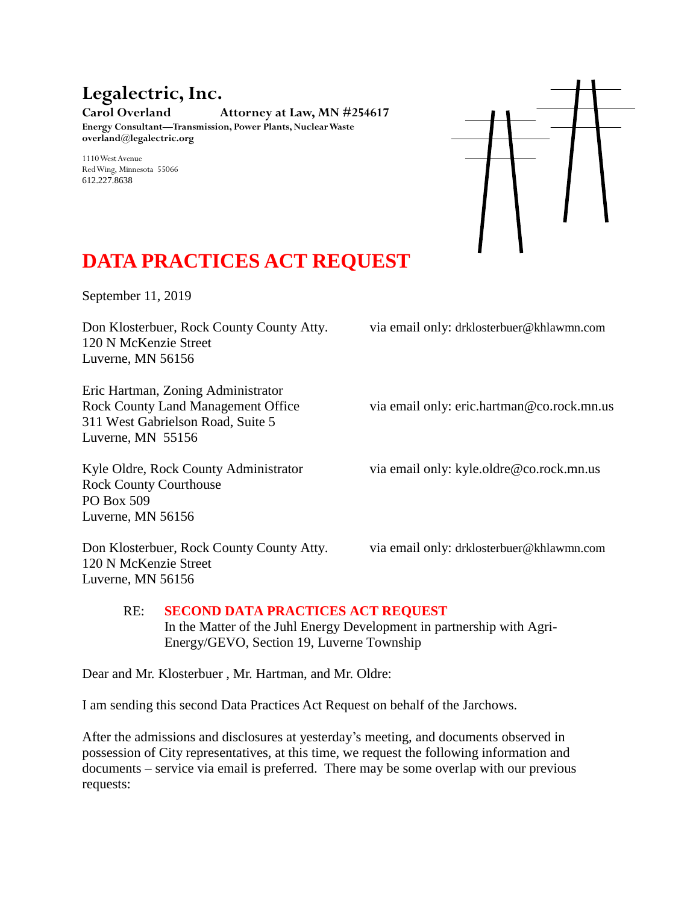## **Legalectric, Inc.**

**Carol Overland Attorney at Law, MN #254617 Energy Consultant—Transmission, Power Plants, Nuclear Waste overland@legalectric.org**

1110 West Avenue Red Wing, Minnesota 55066 612.227.8638



## **DATA PRACTICES ACT REQUEST**

September 11, 2019

Don Klosterbuer, Rock County County Atty. via email only: drklosterbuer@khlawmn.com 120 N McKenzie Street Luverne, MN 56156

Eric Hartman, Zoning Administrator 311 West Gabrielson Road, Suite 5 Luverne, MN 55156

Rock County Courthouse PO Box 509 Luverne, MN 56156

120 N McKenzie Street Luverne, MN 56156

Rock County Land Management Office via email only: eric.hartman@co.rock.mn.us

Kyle Oldre, Rock County Administrator via email only: kyle.oldre@co.rock.mn.us

Don Klosterbuer, Rock County County Atty. via email only: drklosterbuer@khlawmn.com

## RE: **SECOND DATA PRACTICES ACT REQUEST** In the Matter of the Juhl Energy Development in partnership with Agri-Energy/GEVO, Section 19, Luverne Township

Dear and Mr. Klosterbuer , Mr. Hartman, and Mr. Oldre:

I am sending this second Data Practices Act Request on behalf of the Jarchows.

After the admissions and disclosures at yesterday's meeting, and documents observed in possession of City representatives, at this time, we request the following information and documents – service via email is preferred. There may be some overlap with our previous requests: